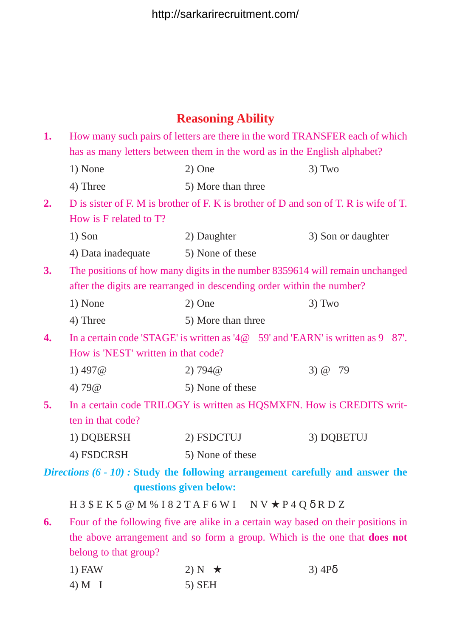## **Reasoning Ability**

| 1.                                  |                                                                                         | How many such pairs of letters are there in the word TRANSFER each of which          |                    |  |
|-------------------------------------|-----------------------------------------------------------------------------------------|--------------------------------------------------------------------------------------|--------------------|--|
|                                     | has as many letters between them in the word as in the English alphabet?                |                                                                                      |                    |  |
|                                     | 1) None                                                                                 | $2)$ One                                                                             | $3)$ Two           |  |
|                                     | 4) Three                                                                                | 5) More than three                                                                   |                    |  |
| 2.                                  |                                                                                         | D is sister of F. M is brother of F. K is brother of D and son of T. R is wife of T. |                    |  |
|                                     | How is F related to T?                                                                  |                                                                                      |                    |  |
|                                     | $1)$ Son                                                                                | 2) Daughter                                                                          | 3) Son or daughter |  |
|                                     | 4) Data inadequate                                                                      | 5) None of these                                                                     |                    |  |
| 3.                                  |                                                                                         | The positions of how many digits in the number 8359614 will remain unchanged         |                    |  |
|                                     | after the digits are rearranged in descending order within the number?                  |                                                                                      |                    |  |
|                                     | 1) None                                                                                 | $2)$ One                                                                             | $3)$ Two           |  |
|                                     | 4) Three                                                                                | 5) More than three                                                                   |                    |  |
| 4.                                  | In a certain code 'STAGE' is written as '4 $@$ ©59' and 'EARN' is written as 9 $@$ 87'. |                                                                                      |                    |  |
| How is 'NEST' written in that code? |                                                                                         |                                                                                      |                    |  |
|                                     | 1) $497@$                                                                               | 2) 794@                                                                              | 3) $@@79$          |  |
|                                     | 4) $79@@$                                                                               | 5) None of these                                                                     |                    |  |
| 5.                                  | In a certain code TRILOGY is written as HQSMXFN. How is CREDITS writ-                   |                                                                                      |                    |  |
|                                     | ten in that code?                                                                       |                                                                                      |                    |  |
|                                     | 1) DQBERSH                                                                              | 2) FSDCTUJ                                                                           | 3) DQBETUJ         |  |
|                                     | 4) FSDCRSH                                                                              | 5) None of these                                                                     |                    |  |
|                                     |                                                                                         | Directions $(6 - 10)$ : Study the following arrangement carefully and answer the     |                    |  |
|                                     |                                                                                         | questions given below:                                                               |                    |  |
|                                     |                                                                                         | H 3 \$ E K 5 @ M % I 8 2 T A F 6 W I © N V $\star$ P 4 Q $\delta$ R D Z              |                    |  |
| 6.                                  | Four of the following five are alike in a certain way based on their positions in       |                                                                                      |                    |  |
|                                     | the above arrangement and so form a group. Which is the one that <b>does not</b>        |                                                                                      |                    |  |
|                                     | belong to that group?                                                                   |                                                                                      |                    |  |
|                                     | $1)$ FAW<br>$4)$ M $\odot$ I                                                            | 2) N© $\star$<br>$5)$ SEH                                                            | $3)$ 4P $\delta$   |  |
|                                     |                                                                                         |                                                                                      |                    |  |
|                                     |                                                                                         |                                                                                      |                    |  |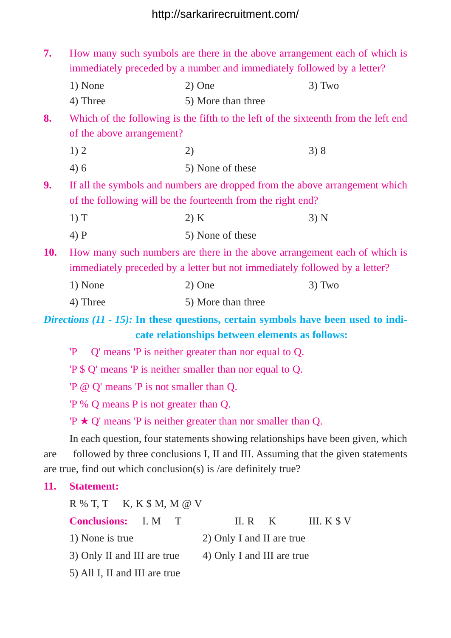| 7.         | How many such symbols are there in the above arrangement each of which is<br>immediately preceded by a number and immediately followed by a letter? |                                                                                                                                                    |          |  |  |
|------------|-----------------------------------------------------------------------------------------------------------------------------------------------------|----------------------------------------------------------------------------------------------------------------------------------------------------|----------|--|--|
|            | 1) None                                                                                                                                             | $2)$ One                                                                                                                                           | $3)$ Two |  |  |
|            | 4) Three                                                                                                                                            | 5) More than three                                                                                                                                 |          |  |  |
| 8.         |                                                                                                                                                     | Which of the following is the fifth to the left of the sixteenth from the left end                                                                 |          |  |  |
|            | of the above arrangement?                                                                                                                           |                                                                                                                                                    |          |  |  |
|            | 1)2                                                                                                                                                 | $2)$ $\odot$                                                                                                                                       | 3)8      |  |  |
|            | 4)6                                                                                                                                                 | 5) None of these                                                                                                                                   |          |  |  |
| 9.         | If all the symbols and numbers are dropped from the above arrangement which                                                                         |                                                                                                                                                    |          |  |  |
|            | of the following will be the fourteenth from the right end?                                                                                         |                                                                                                                                                    |          |  |  |
|            | 1) T                                                                                                                                                | 2) K                                                                                                                                               | 3) N     |  |  |
|            | $4)$ P                                                                                                                                              | 5) None of these                                                                                                                                   |          |  |  |
| <b>10.</b> | How many such numbers are there in the above arrangement each of which is                                                                           |                                                                                                                                                    |          |  |  |
|            | immediately preceded by a letter but not immediately followed by a letter?                                                                          |                                                                                                                                                    |          |  |  |
|            | 1) None                                                                                                                                             | 2) One                                                                                                                                             | $3)$ Two |  |  |
|            | 4) Three                                                                                                                                            | 5) More than three                                                                                                                                 |          |  |  |
|            |                                                                                                                                                     | <i>Directions</i> $(11 - 15)$ : In these questions, certain symbols have been used to indi-                                                        |          |  |  |
|            |                                                                                                                                                     | cate relationships between elements as follows:                                                                                                    |          |  |  |
|            |                                                                                                                                                     | $P \odot Q'$ means $P$ is neither greater than nor equal to Q.                                                                                     |          |  |  |
|            |                                                                                                                                                     | "P \$ Q' means "P is neither smaller than nor equal to Q.                                                                                          |          |  |  |
|            | 'P @ Q' means 'P is not smaller than Q.                                                                                                             |                                                                                                                                                    |          |  |  |
|            | $P\%$ Q means P is not greater than Q.                                                                                                              |                                                                                                                                                    |          |  |  |
|            |                                                                                                                                                     | $P \star Q'$ means $P$ is neither greater than nor smaller than Q.                                                                                 |          |  |  |
|            |                                                                                                                                                     | In each question, four statements showing relationships have been given, which                                                                     |          |  |  |
| are        |                                                                                                                                                     | followed by three conclusions I, II and III. Assuming that the given statements<br>are true, find out which conclusion(s) is /are definitely true? |          |  |  |
| 11.        | <b>Statement:</b>                                                                                                                                   |                                                                                                                                                    |          |  |  |
|            |                                                                                                                                                     |                                                                                                                                                    |          |  |  |
|            | $R$ % T, T $\odot$ K, K $$$ M, M $\odot$ V<br><b>Conclusions:</b><br>II. R $\odot$ K<br>III. $K \$ V<br>I. $M \odot T$                              |                                                                                                                                                    |          |  |  |
|            | 1) None is true                                                                                                                                     | 2) Only I and II are true                                                                                                                          |          |  |  |
|            | 3) Only II and III are true                                                                                                                         | 4) Only I and III are true                                                                                                                         |          |  |  |

5) All I, II and III are true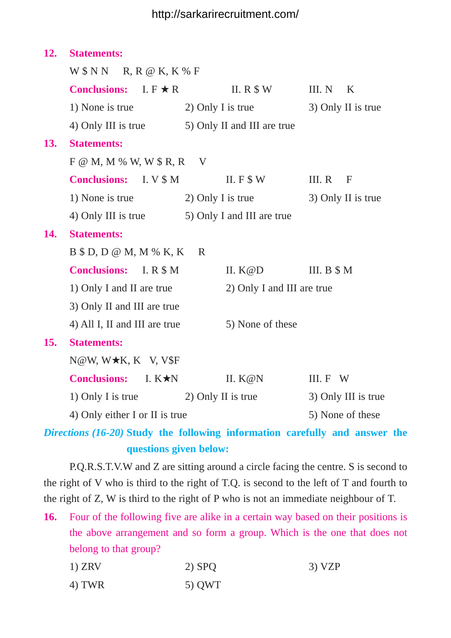## http://sarkarirecruitment.com/

| 12.                                 | <b>Statements:</b>                             |                                                 |                            |  |
|-------------------------------------|------------------------------------------------|-------------------------------------------------|----------------------------|--|
|                                     | W \$ N N @ R, R @ K, K % F                     |                                                 |                            |  |
|                                     | <b>Conclusions:</b> $I. F \star R$             | II. R $$W$                                      | III. $N \odot K$           |  |
|                                     | 1) None is true                                | 2) Only I is true                               | 3) Only II is true         |  |
|                                     |                                                | 4) Only III is true 5) Only II and III are true |                            |  |
| <b>13.</b>                          | <b>Statements:</b>                             |                                                 |                            |  |
|                                     | $F \omega M$ , M % W, W \$ R, R $\odot$ V      |                                                 |                            |  |
|                                     | <b>Conclusions:</b> I. V \$ M                  | II. $F$ \$ W                                    | III. $R \odot F$           |  |
|                                     |                                                | 1) None is true 2) Only I is true               | 3) Only II is true         |  |
|                                     | 4) Only III is true 5) Only I and III are true |                                                 |                            |  |
| 14.                                 | <b>Statements:</b>                             |                                                 |                            |  |
| $B$ \$ D, D @ M, M % K, K $\odot$ R |                                                |                                                 |                            |  |
|                                     | <b>Conclusions:</b> I. R \$ M                  | II. $K@D$                                       | III. $B \$M$               |  |
|                                     | 1) Only I and II are true                      |                                                 | 2) Only I and III are true |  |
|                                     | 3) Only II and III are true                    |                                                 |                            |  |
|                                     | 4) All I, II and III are true                  | 5) None of these                                |                            |  |
| 15.                                 | <b>Statements:</b>                             |                                                 |                            |  |
|                                     | $N@W, W\star K, K@V, V$F$                      |                                                 |                            |  |
|                                     | <b>Conclusions:</b><br>I. $K\star N$           | II. $K@N$                                       | III. F©W                   |  |
|                                     | 1) Only I is true 2) Only II is true           |                                                 | 3) Only III is true        |  |
|                                     | 4) Only either I or II is true                 |                                                 | 5) None of these           |  |

*Directions (16-20)* **Study the following information carefully and answer the questions given below:**

P.Q.R.S.T.V.W and Z are sitting around a circle facing the centre. S is second to the right of V who is third to the right of T.Q. is second to the left of T and fourth to the right of Z, W is third to the right of P who is not an immediate neighbour of T.

**16.** Four of the following five are alike in a certain way based on their positions is the above arrangement and so form a group. Which is the one that does not belong to that group?

| $1)$ ZRV | $2)$ SPQ | 3) VZP |
|----------|----------|--------|
| 4) TWR   | 5) QWT   |        |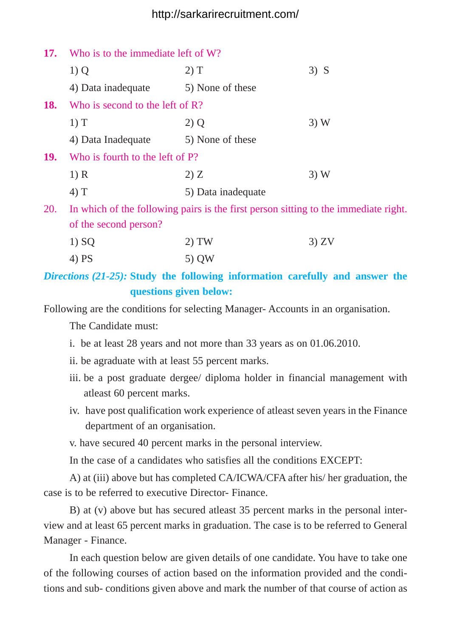## http://sarkarirecruitment.com/

| Who is to the immediate left of W?<br><b>17.</b>                                                  |                    |        |
|---------------------------------------------------------------------------------------------------|--------------------|--------|
| $1)$ Q                                                                                            | 2) T               | $3)$ S |
| 4) Data inadequate                                                                                | 5) None of these   |        |
| Who is second to the left of $\mathbb{R}$ ?                                                       |                    |        |
| $1)$ T                                                                                            | $2)$ Q             | 3)W    |
| 4) Data Inadequate                                                                                | 5) None of these   |        |
| Who is fourth to the left of P?                                                                   |                    |        |
| 1) R                                                                                              | 2) Z               | 3)W    |
| $(4)$ T                                                                                           | 5) Data inadequate |        |
| In which of the following pairs is the first person sitting to the immediate right.<br><b>20.</b> |                    |        |
| of the second person?                                                                             |                    |        |
| 1) SQ                                                                                             | TW                 | 3) ZV  |
|                                                                                                   |                    |        |

4) PS 5) OW

*Directions (21-25):* **Study the following information carefully and answer the questions given below:**

Following are the conditions for selecting Manager- Accounts in an organisation.

The Candidate must:

- i. be at least 28 years and not more than 33 years as on 01.06.2010.
- ii. be agraduate with at least 55 percent marks.
- iii. be a post graduate dergee/ diploma holder in financial management with atleast 60 percent marks.
- iv. have post qualification work experience of atleast seven years in the Finance department of an organisation.

v. have secured 40 percent marks in the personal interview.

In the case of a candidates who satisfies all the conditions EXCEPT:

A) at (iii) above but has completed CA/ICWA/CFA after his/ her graduation, the case is to be referred to executive Director- Finance.

B) at (v) above but has secured atleast 35 percent marks in the personal interview and at least 65 percent marks in graduation. The case is to be referred to General Manager - Finance.

In each question below are given details of one candidate. You have to take one of the following courses of action based on the information provided and the conditions and sub- conditions given above and mark the number of that course of action as